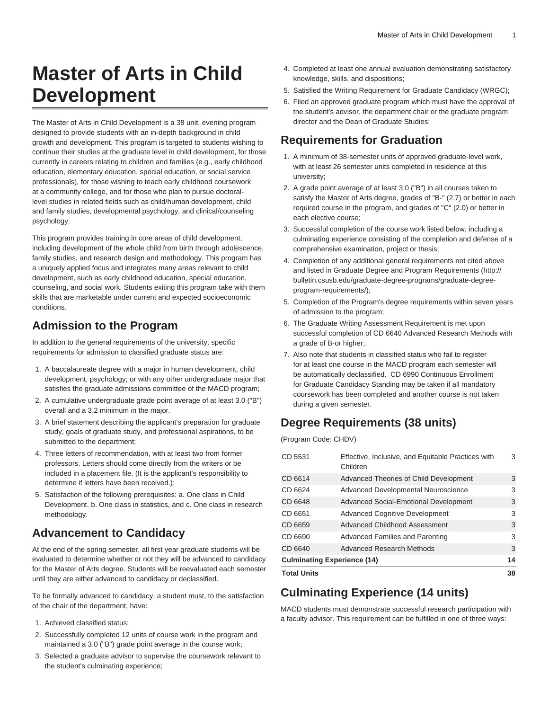# **Master of Arts in Child Development**

The Master of Arts in Child Development is a 38 unit, evening program designed to provide students with an in-depth background in child growth and development. This program is targeted to students wishing to continue their studies at the graduate level in child development, for those currently in careers relating to children and families (e.g., early childhood education, elementary education, special education, or social service professionals), for those wishing to teach early childhood coursework at a community college, and for those who plan to pursue doctorallevel studies in related fields such as child/human development, child and family studies, developmental psychology, and clinical/counseling psychology.

This program provides training in core areas of child development, including development of the whole child from birth through adolescence, family studies, and research design and methodology. This program has a uniquely applied focus and integrates many areas relevant to child development, such as early childhood education, special education, counseling, and social work. Students exiting this program take with them skills that are marketable under current and expected socioeconomic conditions.

## **Admission to the Program**

In addition to the general requirements of the university, specific requirements for admission to classified graduate status are:

- 1. A baccalaureate degree with a major in human development, child development, psychology; or with any other undergraduate major that satisfies the graduate admissions committee of the MACD program;
- 2. A cumulative undergraduate grade point average of at least 3.0 ("B") overall and a 3.2 minimum in the major.
- 3. A brief statement describing the applicant's preparation for graduate study, goals of graduate study, and professional aspirations, to be submitted to the department;
- 4. Three letters of recommendation, with at least two from former professors. Letters should come directly from the writers or be included in a placement file. (It is the applicant's responsibility to determine if letters have been received.);
- 5. Satisfaction of the following prerequisites: a. One class in Child Development. b. One class in statistics, and c. One class in research methodology.

### **Advancement to Candidacy**

At the end of the spring semester, all first year graduate students will be evaluated to determine whether or not they will be advanced to candidacy for the Master of Arts degree. Students will be reevaluated each semester until they are either advanced to candidacy or declassified.

To be formally advanced to candidacy, a student must, to the satisfaction of the chair of the department, have:

- 1. Achieved classified status;
- 2. Successfully completed 12 units of course work in the program and maintained a 3.0 ("B") grade point average in the course work;
- 3. Selected a graduate advisor to supervise the coursework relevant to the student's culminating experience;
- 4. Completed at least one annual evaluation demonstrating satisfactory knowledge, skills, and dispositions;
- 5. Satisfied the Writing Requirement for Graduate Candidacy (WRGC);
- 6. Filed an approved graduate program which must have the approval of the student's advisor, the department chair or the graduate program director and the Dean of Graduate Studies;

## **Requirements for Graduation**

- 1. A minimum of 38-semester units of approved graduate-level work, with at least 26 semester units completed in residence at this university;
- 2. A grade point average of at least 3.0 ("B") in all courses taken to satisfy the Master of Arts degree, grades of "B-" (2.7) or better in each required course in the program, and grades of "C" (2.0) or better in each elective course;
- 3. Successful completion of the course work listed below, including a culminating experience consisting of the completion and defense of a comprehensive examination, project or thesis;
- 4. Completion of any additional general requirements not cited above and listed in [Graduate Degree and Program Requirements](http://bulletin.csusb.edu/graduate-degree-programs/graduate-degree-program-requirements/) [\(http://](http://bulletin.csusb.edu/graduate-degree-programs/graduate-degree-program-requirements/) [bulletin.csusb.edu/graduate-degree-programs/graduate-degree](http://bulletin.csusb.edu/graduate-degree-programs/graduate-degree-program-requirements/)[program-requirements/\)](http://bulletin.csusb.edu/graduate-degree-programs/graduate-degree-program-requirements/);
- 5. Completion of the Program's degree requirements within seven years of admission to the program;
- 6. The Graduate Writing Assessment Requirement is met upon successful completion of [CD 6640](/search/?P=CD%206640) Advanced Research Methods with a grade of B-or higher;.
- 7. Also note that students in classified status who fail to register for at least one course in the MACD program each semester will be automatically declassified. CD 6990 Continuous Enrollment for Graduate Candidacy Standing may be taken if all mandatory coursework has been completed and another course is not taken during a given semester.

### **Degree Requirements (38 units)**

(Program Code: CHDV)

| <b>Total Units</b>                 |                                                                |    |
|------------------------------------|----------------------------------------------------------------|----|
| <b>Culminating Experience (14)</b> |                                                                | 14 |
| CD 6640                            | Advanced Research Methods                                      | 3  |
| CD 6690                            | Advanced Families and Parenting                                | 3  |
| CD 6659                            | Advanced Childhood Assessment                                  | 3  |
| CD 6651                            | <b>Advanced Cognitive Development</b>                          | 3  |
| CD 6648                            | <b>Advanced Social-Emotional Development</b>                   | 3  |
| CD 6624                            | Advanced Developmental Neuroscience                            | 3  |
| CD 6614                            | Advanced Theories of Child Development                         | 3  |
| CD 5531                            | Effective, Inclusive, and Equitable Practices with<br>Children | 3  |

## **Culminating Experience (14 units)**

MACD students must demonstrate successful research participation with a faculty advisor. This requirement can be fulfilled in one of three ways: